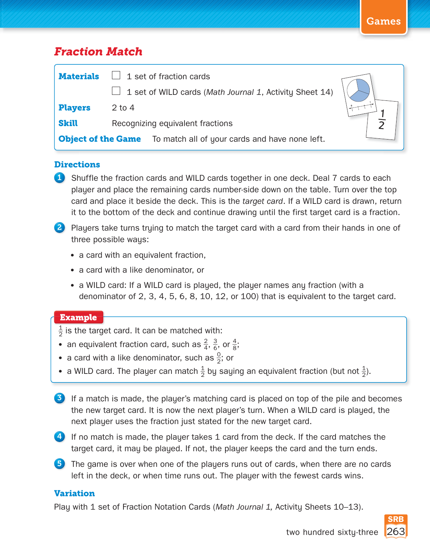#### *Fraction Match*

| <b>Materials</b>          | $\Box$ 1 set of fraction cards                          |  |
|---------------------------|---------------------------------------------------------|--|
|                           | 1 set of WILD cards (Math Journal 1, Activity Sheet 14) |  |
| <b>Players</b>            | $2$ to 4                                                |  |
| <b>Skill</b>              | Recognizing equivalent fractions                        |  |
| <b>Object of the Game</b> | To match all of your cards and have none left.          |  |

#### **Directions**

**1** Shuffle the fraction cards and WILD cards together in one deck. Deal 7 cards to each player and place the remaining cards number-side down on the table. Turn over the top card and place it beside the deck. This is the *target card*. If a WILD card is drawn, return it to the bottom of the deck and continue drawing until the first target card is a fraction.

2 Players take turns trying to match the target card with a card from their hands in one of three possible ways:

- a card with an equivalent fraction,
- a card with a like denominator, or
- a WILD card: If a WILD card is played, the player names any fraction (with a denominator of 2, 3, 4, 5, 6, 8, 10, 12, or 100) that is equivalent to the target card.

#### **Example**

- $\frac{1}{2}$  is the target card. It can be matched with:
- an equivalent fraction card, such as  $\frac{2}{4}$ ,  $\frac{3}{6}$ , or  $\frac{4}{8}$ ;
- a card with a like denominator, such as  $\frac{0}{2}$ ; or
- a WILD card. The player can match  $\frac{1}{2}$  by saying an equivalent fraction (but not  $\frac{1}{2}$ ).
- **3** If a match is made, the player's matching card is placed on top of the pile and becomes the new target card. It is now the next player's turn. When a WILD card is played, the next player uses the fraction just stated for the new target card.
- 4 If no match is made, the player takes 1 card from the deck. If the card matches the target card, it may be played. If not, the player keeps the card and the turn ends.
- 5 The game is over when one of the players runs out of cards, when there are no cards left in the deck, or when time runs out. The player with the fewest cards wins.

#### **Variation**

Play with 1 set of Fraction Notation Cards (*Math Journal 1,* Activity Sheets 10–13).

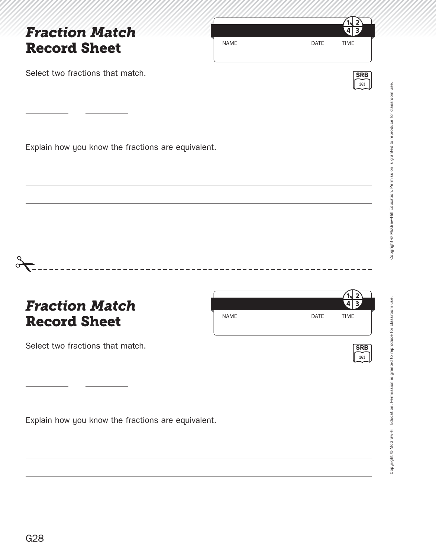Select two fractions that match.

 $\overline{\phantom{a}}$ 

Explain how you know the fractions are equivalent.

G28

| <i><b>Fraction Match</b></i> |      |      |      |  |  |
|------------------------------|------|------|------|--|--|
| <b>Record Sheet</b>          | NAME | DATF | TIMF |  |  |

Select two fractions that match.

Explain how you know the fractions are equivalent.





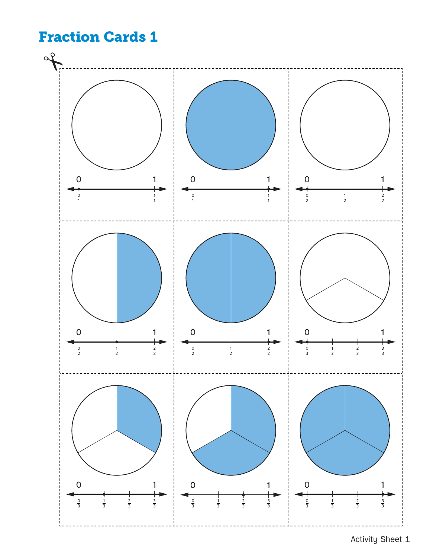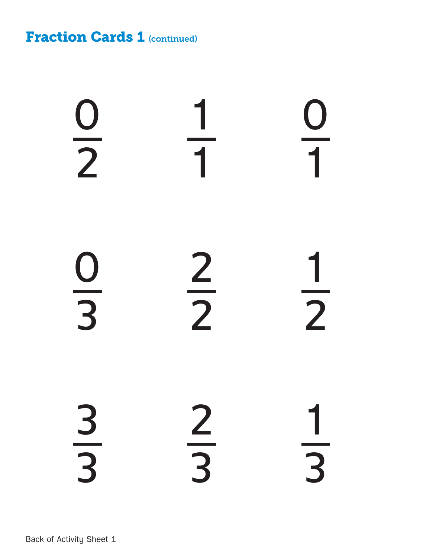**Fraction Cards 1 (continued)** 

 $\frac{0}{2}$  $\overline{1}$ 1<br>1<br>1  $\overline{1}$ 1<br>1<br>1<br>1  $\frac{0}{3}$ 3  $\frac{2}{2}$ 2  $\frac{1}{2}$ 2 3<br>3<br>3 3  $\frac{2}{3}$ 3  $\overline{3}$ 3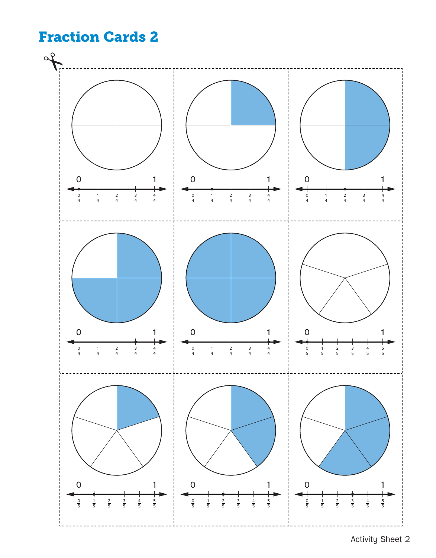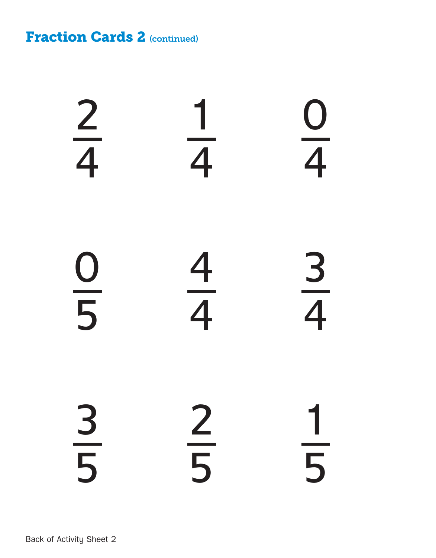**Fraction Cards 2 (continued)**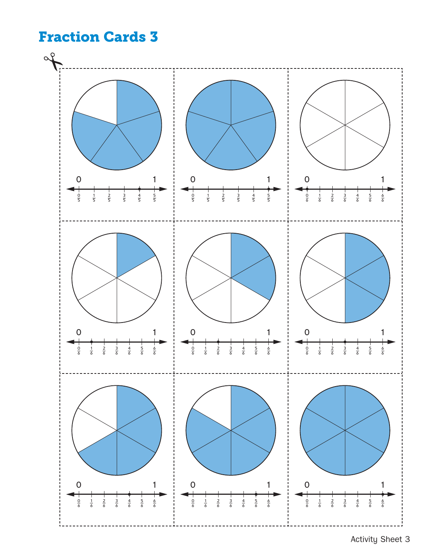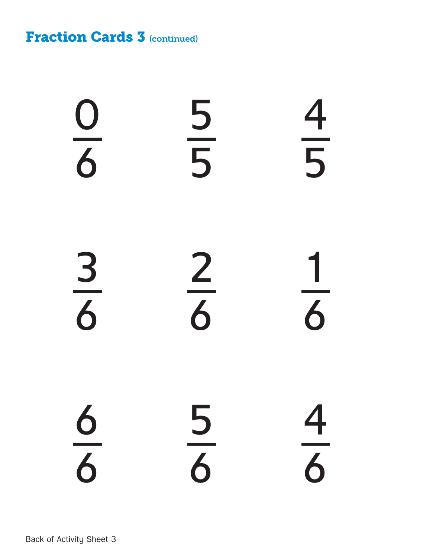**Fraction Cards 3 (continued)** 

 $\frac{0}{6}$ 6  $\frac{5}{5}$ 5  $\frac{4}{5}$ 5  $\frac{3}{6}$ 6  $\frac{2}{6}$ 6  $\frac{1}{6}$ 6  $\frac{6}{6}$ 6  $\frac{5}{6}$ 6  $\frac{4}{6}$ 6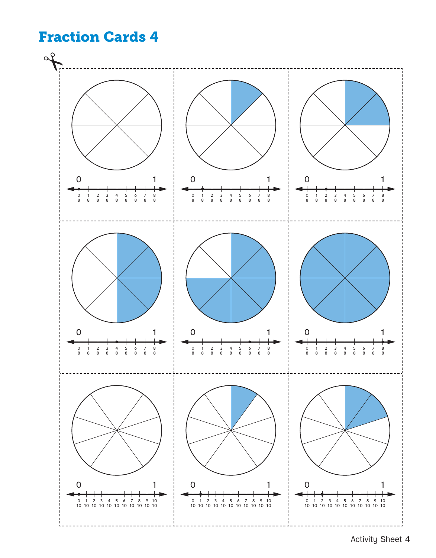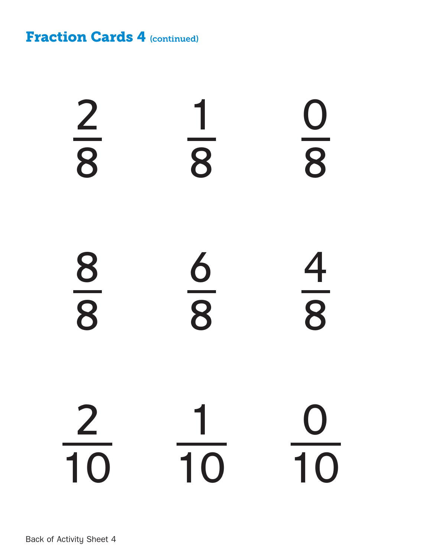**Fraction Cards 4 (continued)**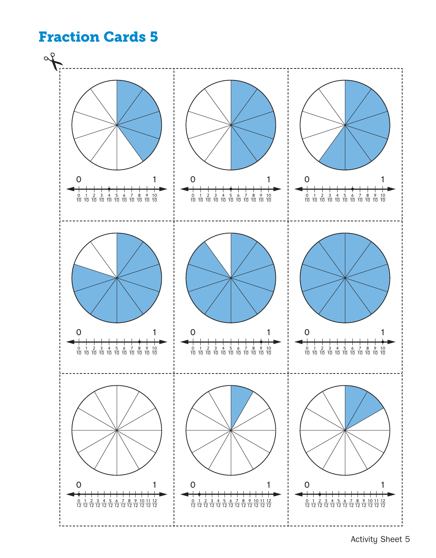

Activity Sheet 5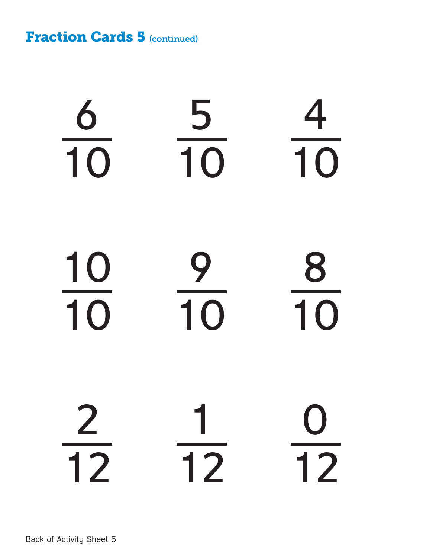**Fraction Cards 5 (continued)** 

 $\frac{6}{10}$ 10  $\frac{5}{10}$ 10  $\frac{4}{10}$ 10 10<br>10 10  $\frac{1}{\sqrt{2}}$ 10  $\frac{8}{10}$ 10 —<br>|<br>| J  $\overline{12}$  $\frac{0}{12}$ 

Back of Activity Sheet 5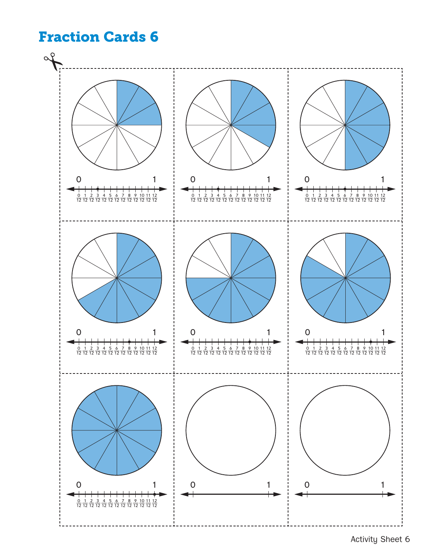

Activity Sheet 6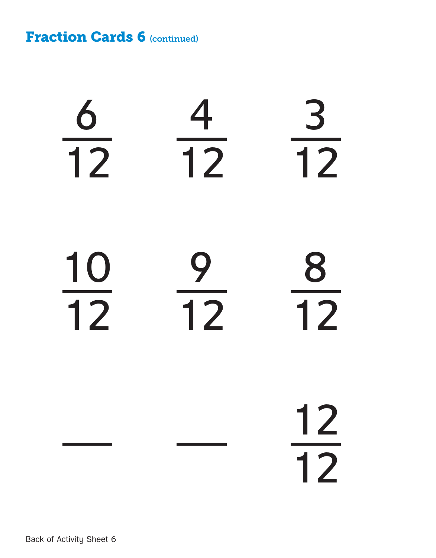**Fraction Cards 6 (continued)** 

 $\overline{12}$ 

Back of Activity Sheet 6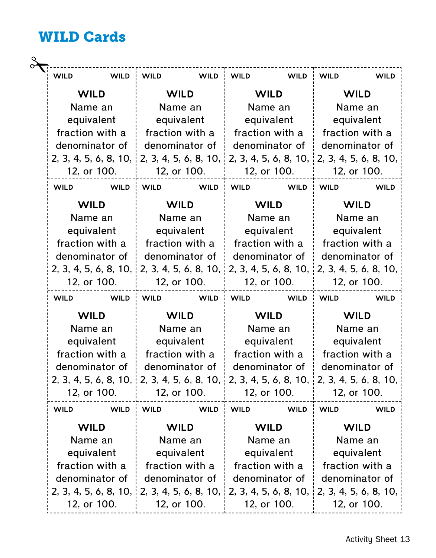### WILD Cards

| <b>WILD</b>     |                         | WILD : WILD    |                 | WILD : WILD | <b>WILD</b>                                                                             | <b>WILD</b> | <b>WILD</b>     |
|-----------------|-------------------------|----------------|-----------------|-------------|-----------------------------------------------------------------------------------------|-------------|-----------------|
| <b>WILD</b>     |                         |                | <b>WILD</b>     |             | <b>WILD</b>                                                                             |             | <b>WILD</b>     |
| Name an         |                         |                | Name an         |             | Name an                                                                                 |             | Name an         |
| equivalent      |                         |                | equivalent      |             | equivalent                                                                              |             | equivalent      |
| fraction with a |                         |                | fraction with a |             | fraction with a                                                                         |             | fraction with a |
| denominator of  |                         |                | denominator of  |             | denominator of                                                                          |             | denominator of  |
|                 |                         |                |                 |             | 2, 3, 4, 5, 6, 8, 10, 2, 3, 4, 5, 6, 8, 10, 2, 3, 4, 5, 6, 8, 10, 2, 3, 4, 5, 6, 8, 10, |             |                 |
|                 | 12, or 100.             |                | 12, or 100.     |             | 12, or 100.                                                                             |             | 12, or 100.     |
| <b>WILD</b>     | <b>WILD</b>             | <b>WILD</b>    | <b>WILD</b>     | <b>WILD</b> | <b>WILD</b>                                                                             | <b>WILD</b> | <b>WILD</b>     |
| <b>WILD</b>     |                         |                | <b>WILD</b>     |             | <b>WILD</b>                                                                             |             | <b>WILD</b>     |
| Name an         |                         |                | Name an         |             | Name an                                                                                 |             | Name an         |
| equivalent      |                         |                | equivalent      |             | equivalent                                                                              |             | equivalent      |
| fraction with a |                         |                | fraction with a |             | fraction with a                                                                         |             | fraction with a |
| denominator of  |                         |                | denominator of  |             | denominator of                                                                          |             | denominator of  |
|                 | 2, 3, 4, 5, 6, 8, 10,   |                |                 |             | 2, 3, 4, 5, 6, 8, 10, 2, 3, 4, 5, 6, 8, 10, 2, 3, 4, 5, 6, 8, 10,                       |             |                 |
|                 | 12, or 100.             |                | 12, or 100.     |             | 12, or 100.                                                                             |             | 12, or 100.     |
| <b>WILD</b>     | <b>WILD</b>             | <b>WILD</b>    | <b>WILD</b>     | <b>WILD</b> | <b>WILD</b>                                                                             | <b>WILD</b> | <b>WILD</b>     |
| <b>WILD</b>     |                         |                | <b>WILD</b>     |             | <b>WILD</b>                                                                             |             | <b>WILD</b>     |
| Name an         |                         |                | Name an         |             | Name an                                                                                 |             | Name an         |
| equivalent      |                         |                | equivalent      |             | equivalent                                                                              |             | equivalent      |
| fraction with a |                         |                | fraction with a |             | fraction with a                                                                         |             | fraction with a |
| denominator of  |                         |                | denominator of  |             | denominator of                                                                          |             | denominator of  |
|                 |                         |                |                 |             | 2, 3, 4, 5, 6, 8, 10, 2, 3, 4, 5, 6, 8, 10, 2, 3, 4, 5, 6, 8, 10, 2, 3, 4, 5, 6, 8, 10, |             |                 |
|                 | 12, or 100.             |                | 12, or 100.     |             | 12, or 100.                                                                             |             | 12, or 100.     |
| <b>WILD</b>     | <b>WILD</b>             | <b>WILD</b>    | <b>WILD</b>     | <b>WILD</b> | <b>WILD</b>                                                                             | <b>WILD</b> | <b>WILD</b>     |
| <b>WILD</b>     |                         |                | <b>WILD</b>     |             | <b>WILD</b>                                                                             |             | <b>WILD</b>     |
| Name an         |                         |                | Name an         |             | Name an                                                                                 |             | Name an         |
| equivalent      |                         |                | equivalent      |             | equivalent                                                                              |             | equivalent      |
| fraction with a |                         |                | fraction with a |             | fraction with a                                                                         |             | fraction with a |
| denominator of  |                         | denominator of |                 |             | denominator of                                                                          |             | denominator of  |
|                 | 2, 3, 4, 5, 6, 8, 10, i |                |                 |             | 2, 3, 4, 5, 6, 8, 10, 2, 3, 4, 5, 6, 8, 10, 2, 3, 4, 5, 6, 8, 10,                       |             |                 |
| 12, or 100.     |                         |                | 12, or 100.     |             | 12, or 100.                                                                             |             | 12, or 100.     |